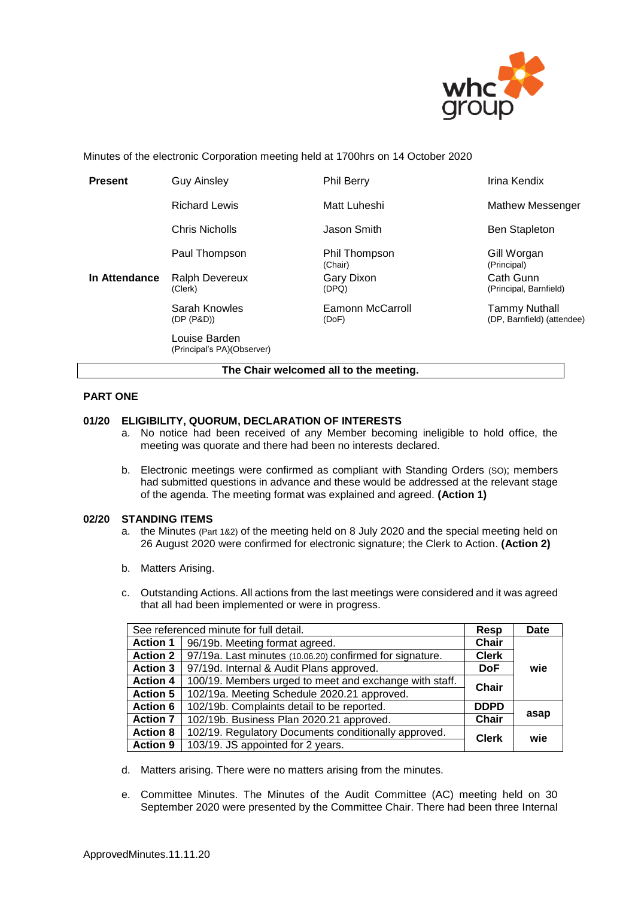

Minutes of the electronic Corporation meeting held at 1700hrs on 14 October 2020

| <b>Present</b>                         | <b>Guy Ainsley</b>                          | <b>Phil Berry</b>         | Irina Kendix                                |  |  |
|----------------------------------------|---------------------------------------------|---------------------------|---------------------------------------------|--|--|
|                                        | <b>Richard Lewis</b>                        | Matt Luheshi              | <b>Mathew Messenger</b>                     |  |  |
|                                        | Chris Nicholls                              | Jason Smith               | <b>Ben Stapleton</b>                        |  |  |
| In Attendance                          | Paul Thompson                               | Phil Thompson<br>(Chair)  | Gill Worgan<br>(Principal)                  |  |  |
|                                        | <b>Ralph Devereux</b><br>(Clerk)            | Gary Dixon<br>(DPQ)       | Cath Gunn<br>(Principal, Barnfield)         |  |  |
|                                        | Sarah Knowles<br>(DP (P&D))                 | Eamonn McCarroll<br>(DoF) | Tammy Nuthall<br>(DP, Barnfield) (attendee) |  |  |
|                                        | Louise Barden<br>(Principal's PA)(Observer) |                           |                                             |  |  |
| The Chair welcomed all to the meeting. |                                             |                           |                                             |  |  |

# **PART ONE**

#### **01/20 ELIGIBILITY, QUORUM, DECLARATION OF INTERESTS**

- a. No notice had been received of any Member becoming ineligible to hold office, the meeting was quorate and there had been no interests declared.
- b. Electronic meetings were confirmed as compliant with Standing Orders (SO); members had submitted questions in advance and these would be addressed at the relevant stage of the agenda. The meeting format was explained and agreed. **(Action 1)**

#### **02/20 STANDING ITEMS**

- a. the Minutes (Part 1&2) of the meeting held on 8 July 2020 and the special meeting held on 26 August 2020 were confirmed for electronic signature; the Clerk to Action. **(Action 2)**
- b. Matters Arising.
- c. Outstanding Actions. All actions from the last meetings were considered and it was agreed that all had been implemented or were in progress.

| See referenced minute for full detail. |                                                          |               | <b>Date</b> |
|----------------------------------------|----------------------------------------------------------|---------------|-------------|
| <b>Action 1</b>                        | 96/19b. Meeting format agreed.<br>Chair                  |               |             |
| <b>Action 2</b>                        | 97/19a. Last minutes (10.06.20) confirmed for signature. |               |             |
| <b>Action 3</b>                        | 97/19d. Internal & Audit Plans approved.<br><b>DoF</b>   |               | wie         |
| <b>Action 4</b>                        | 100/19. Members urged to meet and exchange with staff.   | Chair         |             |
| <b>Action 5</b>                        | 102/19a. Meeting Schedule 2020.21 approved.              |               |             |
| <b>Action 6</b>                        | 102/19b. Complaints detail to be reported.               | <b>DDPD</b>   |             |
| <b>Action 7</b>                        | 102/19b. Business Plan 2020.21 approved.                 | asap<br>Chair |             |
| <b>Action 8</b>                        | 102/19. Regulatory Documents conditionally approved.     | <b>Clerk</b>  | wie         |
| <b>Action 9</b>                        | 103/19. JS appointed for 2 years.                        |               |             |

- d. Matters arising. There were no matters arising from the minutes.
- e. Committee Minutes. The Minutes of the Audit Committee (AC) meeting held on 30 September 2020 were presented by the Committee Chair. There had been three Internal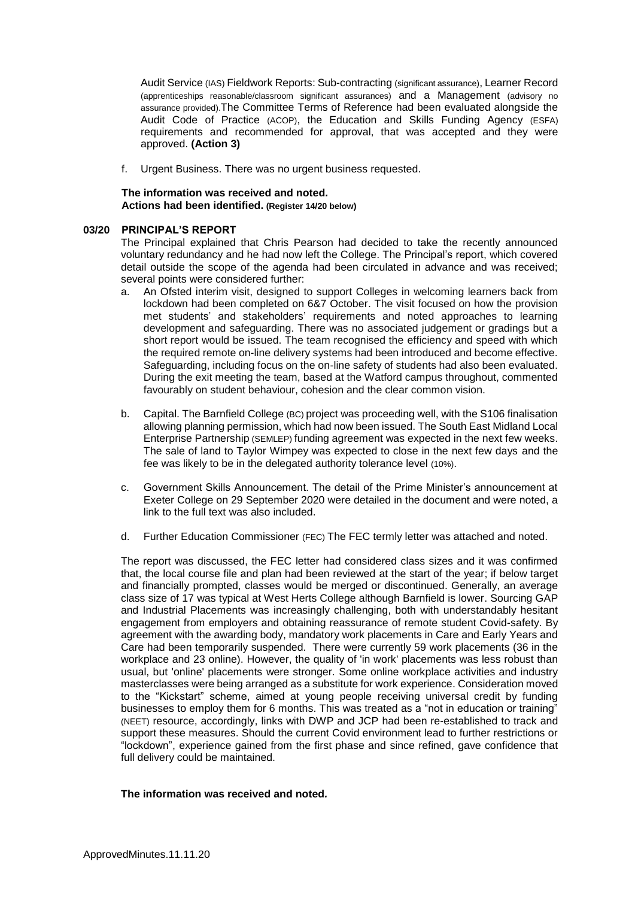Audit Service (IAS) Fieldwork Reports: Sub-contracting (significant assurance), Learner Record (apprenticeships reasonable/classroom significant assurances) and a Management (advisory no assurance provided).The Committee Terms of Reference had been evaluated alongside the Audit Code of Practice (ACOP), the Education and Skills Funding Agency (ESFA) requirements and recommended for approval, that was accepted and they were approved. **(Action 3)**

f. Urgent Business. There was no urgent business requested.

# **The information was received and noted***.* **Actions had been identified. (Register 14/20 below)**

# **03/20 PRINCIPAL'S REPORT**

The Principal explained that Chris Pearson had decided to take the recently announced voluntary redundancy and he had now left the College. The Principal's report, which covered detail outside the scope of the agenda had been circulated in advance and was received; several points were considered further:

- a. An Ofsted interim visit, designed to support Colleges in welcoming learners back from lockdown had been completed on 6&7 October. The visit focused on how the provision met students' and stakeholders' requirements and noted approaches to learning development and safeguarding. There was no associated judgement or gradings but a short report would be issued. The team recognised the efficiency and speed with which the required remote on-line delivery systems had been introduced and become effective. Safeguarding, including focus on the on-line safety of students had also been evaluated. During the exit meeting the team, based at the Watford campus throughout, commented favourably on student behaviour, cohesion and the clear common vision.
- b. Capital. The Barnfield College (BC) project was proceeding well, with the S106 finalisation allowing planning permission, which had now been issued. The South East Midland Local Enterprise Partnership (SEMLEP) funding agreement was expected in the next few weeks. The sale of land to Taylor Wimpey was expected to close in the next few days and the fee was likely to be in the delegated authority tolerance level (10%).
- c. Government Skills Announcement. The detail of the Prime Minister's announcement at Exeter College on 29 September 2020 were detailed in the document and were noted, a link to the full text was also included.
- d. Further Education Commissioner (FEC) The FEC termly letter was attached and noted.

The report was discussed, the FEC letter had considered class sizes and it was confirmed that, the local course file and plan had been reviewed at the start of the year; if below target and financially prompted, classes would be merged or discontinued. Generally, an average class size of 17 was typical at West Herts College although Barnfield is lower. Sourcing GAP and Industrial Placements was increasingly challenging, both with understandably hesitant engagement from employers and obtaining reassurance of remote student Covid-safety. By agreement with the awarding body, mandatory work placements in Care and Early Years and Care had been temporarily suspended. There were currently 59 work placements (36 in the workplace and 23 online). However, the quality of 'in work' placements was less robust than usual, but 'online' placements were stronger. Some online workplace activities and industry masterclasses were being arranged as a substitute for work experience. Consideration moved to the "Kickstart" scheme, aimed at young people receiving universal credit by funding businesses to employ them for 6 months. This was treated as a "not in education or training" (NEET) resource, accordingly, links with DWP and JCP had been re-established to track and support these measures. Should the current Covid environment lead to further restrictions or "lockdown", experience gained from the first phase and since refined, gave confidence that full delivery could be maintained.

# **The information was received and noted***.*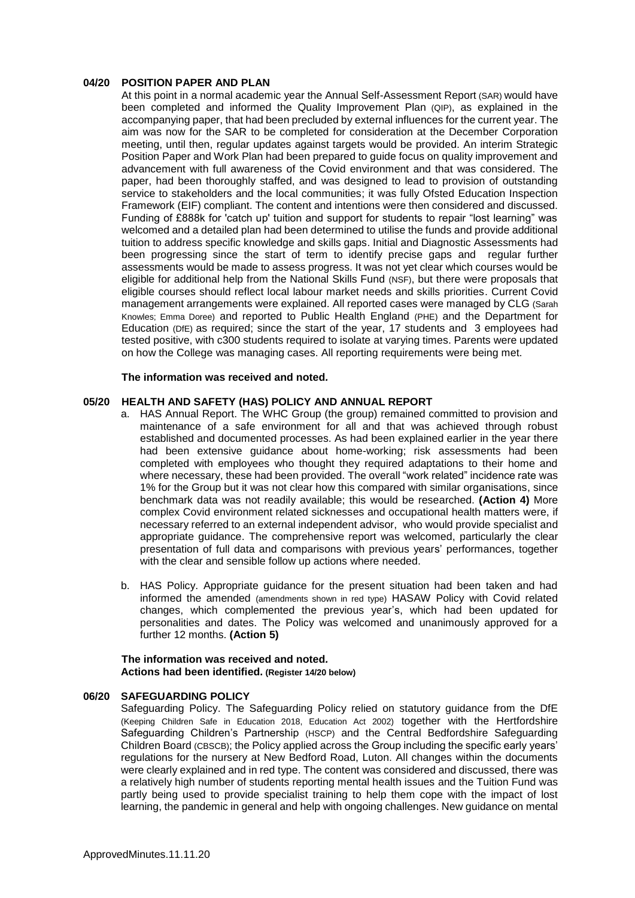# **04/20 POSITION PAPER AND PLAN**

At this point in a normal academic year the Annual Self-Assessment Report (SAR) would have been completed and informed the Quality Improvement Plan (QIP), as explained in the accompanying paper, that had been precluded by external influences for the current year. The aim was now for the SAR to be completed for consideration at the December Corporation meeting, until then, regular updates against targets would be provided. An interim Strategic Position Paper and Work Plan had been prepared to guide focus on quality improvement and advancement with full awareness of the Covid environment and that was considered. The paper, had been thoroughly staffed, and was designed to lead to provision of outstanding service to stakeholders and the local communities; it was fully Ofsted Education Inspection Framework (EIF) compliant. The content and intentions were then considered and discussed. Funding of £888k for 'catch up' tuition and support for students to repair "lost learning" was welcomed and a detailed plan had been determined to utilise the funds and provide additional tuition to address specific knowledge and skills gaps. Initial and Diagnostic Assessments had been progressing since the start of term to identify precise gaps and regular further assessments would be made to assess progress. It was not yet clear which courses would be eligible for additional help from the National Skills Fund (NSF), but there were proposals that eligible courses should reflect local labour market needs and skills priorities. Current Covid management arrangements were explained. All reported cases were managed by CLG (Sarah Knowles; Emma Doree) and reported to Public Health England (PHE) and the Department for Education (DfE) as required; since the start of the year, 17 students and 3 employees had tested positive, with c300 students required to isolate at varying times. Parents were updated on how the College was managing cases. All reporting requirements were being met.

#### **The information was received and noted***.*

# **05/20 HEALTH AND SAFETY (HAS) POLICY AND ANNUAL REPORT**

- a. HAS Annual Report. The WHC Group (the group) remained committed to provision and maintenance of a safe environment for all and that was achieved through robust established and documented processes. As had been explained earlier in the year there had been extensive guidance about home-working; risk assessments had been completed with employees who thought they required adaptations to their home and where necessary, these had been provided. The overall "work related" incidence rate was 1% for the Group but it was not clear how this compared with similar organisations, since benchmark data was not readily available; this would be researched. **(Action 4)** More complex Covid environment related sicknesses and occupational health matters were, if necessary referred to an external independent advisor, who would provide specialist and appropriate guidance. The comprehensive report was welcomed, particularly the clear presentation of full data and comparisons with previous years' performances, together with the clear and sensible follow up actions where needed.
- b. HAS Policy. Appropriate guidance for the present situation had been taken and had informed the amended (amendments shown in red type) HASAW Policy with Covid related changes, which complemented the previous year's, which had been updated for personalities and dates. The Policy was welcomed and unanimously approved for a further 12 months. **(Action 5)**

# **The information was received and noted***.* **Actions had been identified. (Register 14/20 below)**

#### **06/20 SAFEGUARDING POLICY**

Safeguarding Policy. The Safeguarding Policy relied on statutory guidance from the DfE (Keeping Children Safe in Education 2018, Education Act 2002) together with the Hertfordshire Safeguarding Children's Partnership (HSCP) and the Central Bedfordshire Safeguarding Children Board (CBSCB); the Policy applied across the Group including the specific early years' regulations for the nursery at New Bedford Road, Luton. All changes within the documents were clearly explained and in red type. The content was considered and discussed, there was a relatively high number of students reporting mental health issues and the Tuition Fund was partly being used to provide specialist training to help them cope with the impact of lost learning, the pandemic in general and help with ongoing challenges. New guidance on mental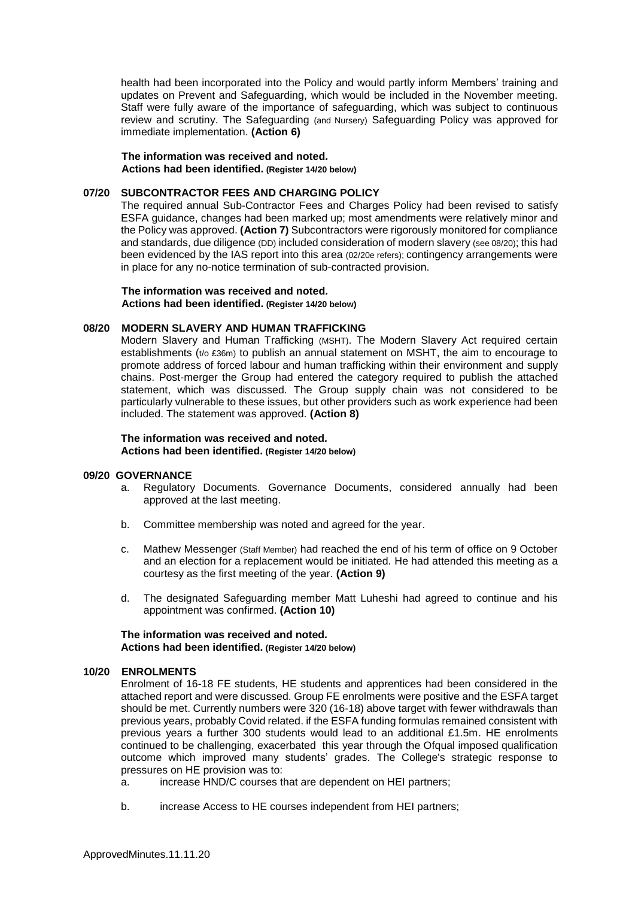health had been incorporated into the Policy and would partly inform Members' training and updates on Prevent and Safeguarding, which would be included in the November meeting. Staff were fully aware of the importance of safeguarding, which was subject to continuous review and scrutiny. The Safeguarding (and Nursery) Safeguarding Policy was approved for immediate implementation. **(Action 6)**

**The information was received and noted***.* **Actions had been identified. (Register 14/20 below)**

# **07/20 SUBCONTRACTOR FEES AND CHARGING POLICY**

The required annual Sub-Contractor Fees and Charges Policy had been revised to satisfy ESFA guidance, changes had been marked up; most amendments were relatively minor and the Policy was approved. **(Action 7)** Subcontractors were rigorously monitored for compliance and standards, due diligence (DD) included consideration of modern slavery (see 08/20); this had been evidenced by the IAS report into this area (02/20e refers); contingency arrangements were in place for any no-notice termination of sub-contracted provision.

**The information was received and noted***.* **Actions had been identified. (Register 14/20 below)**

# **08/20 MODERN SLAVERY AND HUMAN TRAFFICKING**

Modern Slavery and Human Trafficking (MSHT). The Modern Slavery Act required certain establishments ( $t/0$  £36m) to publish an annual statement on MSHT, the aim to encourage to promote address of forced labour and human trafficking within their environment and supply chains. Post-merger the Group had entered the category required to publish the attached statement, which was discussed. The Group supply chain was not considered to be particularly vulnerable to these issues, but other providers such as work experience had been included. The statement was approved. **(Action 8)**

**The information was received and noted***.* **Actions had been identified. (Register 14/20 below)**

#### **09/20 GOVERNANCE**

- a. Regulatory Documents. Governance Documents, considered annually had been approved at the last meeting.
- b. Committee membership was noted and agreed for the year.
- c. Mathew Messenger (Staff Member) had reached the end of his term of office on 9 October and an election for a replacement would be initiated. He had attended this meeting as a courtesy as the first meeting of the year. **(Action 9)**
- d. The designated Safeguarding member Matt Luheshi had agreed to continue and his appointment was confirmed. **(Action 10)**

**The information was received and noted***.* **Actions had been identified. (Register 14/20 below)**

#### **10/20 ENROLMENTS**

Enrolment of 16-18 FE students, HE students and apprentices had been considered in the attached report and were discussed. Group FE enrolments were positive and the ESFA target should be met. Currently numbers were 320 (16-18) above target with fewer withdrawals than previous years, probably Covid related. if the ESFA funding formulas remained consistent with previous years a further 300 students would lead to an additional £1.5m. HE enrolments continued to be challenging, exacerbated this year through the Ofqual imposed qualification outcome which improved many students' grades. The College's strategic response to pressures on HE provision was to:

- a. increase HND/C courses that are dependent on HEI partners;
- b. increase Access to HE courses independent from HEI partners;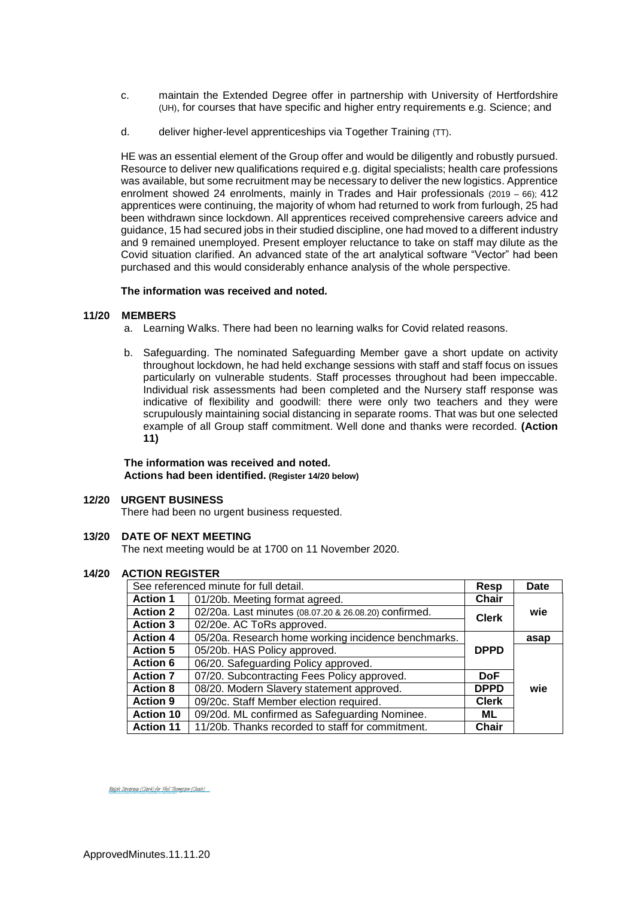- c. maintain the Extended Degree offer in partnership with University of Hertfordshire (UH), for courses that have specific and higher entry requirements e.g. Science; and
- d. deliver higher-level apprenticeships via Together Training (TT).

HE was an essential element of the Group offer and would be diligently and robustly pursued. Resource to deliver new qualifications required e.g. digital specialists; health care professions was available, but some recruitment may be necessary to deliver the new logistics. Apprentice enrolment showed 24 enrolments, mainly in Trades and Hair professionals (2019 – 66); 412 apprentices were continuing, the majority of whom had returned to work from furlough, 25 had been withdrawn since lockdown. All apprentices received comprehensive careers advice and guidance, 15 had secured jobs in their studied discipline, one had moved to a different industry and 9 remained unemployed. Present employer reluctance to take on staff may dilute as the Covid situation clarified. An advanced state of the art analytical software "Vector" had been purchased and this would considerably enhance analysis of the whole perspective.

#### **The information was received and noted***.*

# **11/20 MEMBERS**

- a. Learning Walks. There had been no learning walks for Covid related reasons.
- b. Safeguarding. The nominated Safeguarding Member gave a short update on activity throughout lockdown, he had held exchange sessions with staff and staff focus on issues particularly on vulnerable students. Staff processes throughout had been impeccable. Individual risk assessments had been completed and the Nursery staff response was indicative of flexibility and goodwill: there were only two teachers and they were scrupulously maintaining social distancing in separate rooms. That was but one selected example of all Group staff commitment. Well done and thanks were recorded. **(Action 11)**

#### **The information was received and noted***.* **Actions had been identified. (Register 14/20 below)**

# **12/20 URGENT BUSINESS**

There had been no urgent business requested.

#### **13/20 DATE OF NEXT MEETING**

The next meeting would be at 1700 on 11 November 2020.

# **14/20 ACTION REGISTER**

| See referenced minute for full detail. |                                                                       | Resp         | Date |
|----------------------------------------|-----------------------------------------------------------------------|--------------|------|
| <b>Action 1</b>                        | 01/20b. Meeting format agreed.                                        | <b>Chair</b> |      |
| <b>Action 2</b>                        | 02/20a. Last minutes (08.07.20 & 26.08.20) confirmed.<br><b>Clerk</b> |              | wie  |
| <b>Action 3</b>                        | 02/20e. AC ToRs approved.                                             |              |      |
| <b>Action 4</b>                        | 05/20a. Research home working incidence benchmarks.                   | asap         |      |
| <b>Action 5</b>                        | 05/20b. HAS Policy approved.<br><b>DPPD</b>                           |              |      |
| <b>Action 6</b>                        | 06/20. Safeguarding Policy approved.                                  |              |      |
| <b>Action 7</b>                        | 07/20. Subcontracting Fees Policy approved.                           |              |      |
| <b>Action 8</b>                        | 08/20. Modern Slavery statement approved.                             |              | wie  |
| <b>Action 9</b>                        | 09/20c. Staff Member election required.<br><b>Clerk</b>               |              |      |
| <b>Action 10</b>                       | 09/20d. ML confirmed as Safeguarding Nominee.<br>ML.                  |              |      |
| <b>Action 11</b>                       | 11/20b. Thanks recorded to staff for commitment.<br><b>Chair</b>      |              |      |

Ralph Devereux (Clerk) for Phil Thompson (Chair) (Nov 13, 2020 10:02 GMT) [Ralph Devereux \(Clerk\) for Phil Thompson \(Chair\)](https://eu1.documents.adobe.com/verifier?tx=CBJCHBCAABAAwW84KPcxAhq5a1T41SCYz51VbF_fLGUX)